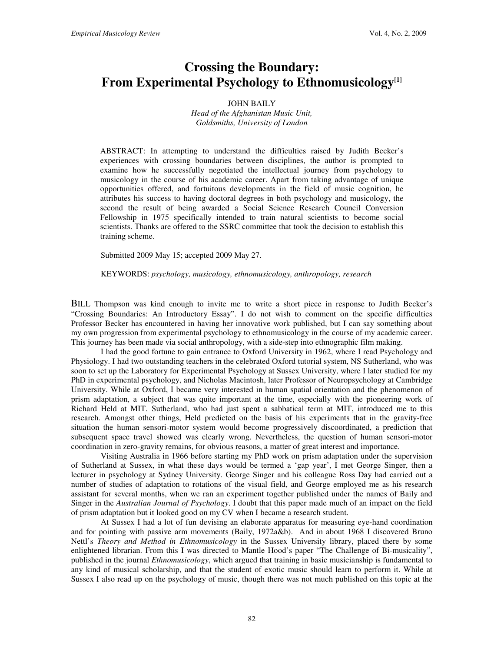## **Crossing the Boundary: From Experimental Psychology to Ethnomusicology[1]**

## JOHN BAILY

*Head of the Afghanistan Music Unit, Goldsmiths, University of London* 

ABSTRACT: In attempting to understand the difficulties raised by Judith Becker's experiences with crossing boundaries between disciplines, the author is prompted to examine how he successfully negotiated the intellectual journey from psychology to musicology in the course of his academic career. Apart from taking advantage of unique opportunities offered, and fortuitous developments in the field of music cognition, he attributes his success to having doctoral degrees in both psychology and musicology, the second the result of being awarded a Social Science Research Council Conversion Fellowship in 1975 specifically intended to train natural scientists to become social scientists. Thanks are offered to the SSRC committee that took the decision to establish this training scheme.

Submitted 2009 May 15; accepted 2009 May 27.

KEYWORDS: *psychology, musicology, ethnomusicology, anthropology, research* 

BILL Thompson was kind enough to invite me to write a short piece in response to Judith Becker's "Crossing Boundaries: An Introductory Essay". I do not wish to comment on the specific difficulties Professor Becker has encountered in having her innovative work published, but I can say something about my own progression from experimental psychology to ethnomusicology in the course of my academic career. This journey has been made via social anthropology, with a side-step into ethnographic film making.

I had the good fortune to gain entrance to Oxford University in 1962, where I read Psychology and Physiology. I had two outstanding teachers in the celebrated Oxford tutorial system, NS Sutherland, who was soon to set up the Laboratory for Experimental Psychology at Sussex University, where I later studied for my PhD in experimental psychology, and Nicholas Macintosh, later Professor of Neuropsychology at Cambridge University. While at Oxford, I became very interested in human spatial orientation and the phenomenon of prism adaptation, a subject that was quite important at the time, especially with the pioneering work of Richard Held at MIT. Sutherland, who had just spent a sabbatical term at MIT, introduced me to this research. Amongst other things, Held predicted on the basis of his experiments that in the gravity-free situation the human sensori-motor system would become progressively discoordinated, a prediction that subsequent space travel showed was clearly wrong. Nevertheless, the question of human sensori-motor coordination in zero-gravity remains, for obvious reasons, a matter of great interest and importance.

Visiting Australia in 1966 before starting my PhD work on prism adaptation under the supervision of Sutherland at Sussex, in what these days would be termed a 'gap year', I met George Singer, then a lecturer in psychology at Sydney University. George Singer and his colleague Ross Day had carried out a number of studies of adaptation to rotations of the visual field, and George employed me as his research assistant for several months, when we ran an experiment together published under the names of Baily and Singer in the *Australian Journal of Psychology*. I doubt that this paper made much of an impact on the field of prism adaptation but it looked good on my CV when I became a research student.

At Sussex I had a lot of fun devising an elaborate apparatus for measuring eye-hand coordination and for pointing with passive arm movements (Baily, 1972a&b). And in about 1968 I discovered Bruno Nettl's *Theory and Method in Ethnomusicology* in the Sussex University library, placed there by some enlightened librarian. From this I was directed to Mantle Hood's paper "The Challenge of Bi-musicality", published in the journal *Ethnomusicology*, which argued that training in basic musicianship is fundamental to any kind of musical scholarship, and that the student of exotic music should learn to perform it. While at Sussex I also read up on the psychology of music, though there was not much published on this topic at the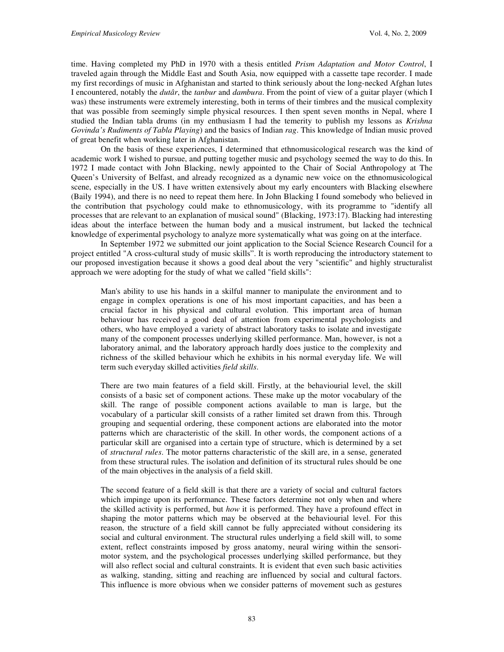time. Having completed my PhD in 1970 with a thesis entitled *Prism Adaptation and Motor Control*, I traveled again through the Middle East and South Asia, now equipped with a cassette tape recorder. I made my first recordings of music in Afghanistan and started to think seriously about the long-necked Afghan lutes I encountered, notably the *dutâr*, the *tanbur* and *dambura*. From the point of view of a guitar player (which I was) these instruments were extremely interesting, both in terms of their timbres and the musical complexity that was possible from seemingly simple physical resources. I then spent seven months in Nepal, where I studied the Indian tabla drums (in my enthusiasm I had the temerity to publish my lessons as *Krishna Govinda's Rudiments of Tabla Playing*) and the basics of Indian *rag*. This knowledge of Indian music proved of great benefit when working later in Afghanistan.

 On the basis of these experiences, I determined that ethnomusicological research was the kind of academic work I wished to pursue, and putting together music and psychology seemed the way to do this. In 1972 I made contact with John Blacking, newly appointed to the Chair of Social Anthropology at The Queen's University of Belfast, and already recognized as a dynamic new voice on the ethnomusicological scene, especially in the US. I have written extensively about my early encounters with Blacking elsewhere (Baily 1994), and there is no need to repeat them here. In John Blacking I found somebody who believed in the contribution that psychology could make to ethnomusicology, with its programme to "identify all processes that are relevant to an explanation of musical sound" (Blacking, 1973:17). Blacking had interesting ideas about the interface between the human body and a musical instrument, but lacked the technical knowledge of experimental psychology to analyze more systematically what was going on at the interface.

 In September 1972 we submitted our joint application to the Social Science Research Council for a project entitled "A cross-cultural study of music skills". It is worth reproducing the introductory statement to our proposed investigation because it shows a good deal about the very "scientific" and highly structuralist approach we were adopting for the study of what we called "field skills":

Man's ability to use his hands in a skilful manner to manipulate the environment and to engage in complex operations is one of his most important capacities, and has been a crucial factor in his physical and cultural evolution. This important area of human behaviour has received a good deal of attention from experimental psychologists and others, who have employed a variety of abstract laboratory tasks to isolate and investigate many of the component processes underlying skilled performance. Man, however, is not a laboratory animal, and the laboratory approach hardly does justice to the complexity and richness of the skilled behaviour which he exhibits in his normal everyday life. We will term such everyday skilled activities *field skills*.

There are two main features of a field skill. Firstly, at the behaviourial level, the skill consists of a basic set of component actions. These make up the motor vocabulary of the skill. The range of possible component actions available to man is large, but the vocabulary of a particular skill consists of a rather limited set drawn from this. Through grouping and sequential ordering, these component actions are elaborated into the motor patterns which are characteristic of the skill. In other words, the component actions of a particular skill are organised into a certain type of structure, which is determined by a set of *structural rules*. The motor patterns characteristic of the skill are, in a sense, generated from these structural rules. The isolation and definition of its structural rules should be one of the main objectives in the analysis of a field skill.

The second feature of a field skill is that there are a variety of social and cultural factors which impinge upon its performance. These factors determine not only when and where the skilled activity is performed, but *how* it is performed. They have a profound effect in shaping the motor patterns which may be observed at the behaviourial level. For this reason, the structure of a field skill cannot be fully appreciated without considering its social and cultural environment. The structural rules underlying a field skill will, to some extent, reflect constraints imposed by gross anatomy, neural wiring within the sensorimotor system, and the psychological processes underlying skilled performance, but they will also reflect social and cultural constraints. It is evident that even such basic activities as walking, standing, sitting and reaching are influenced by social and cultural factors. This influence is more obvious when we consider patterns of movement such as gestures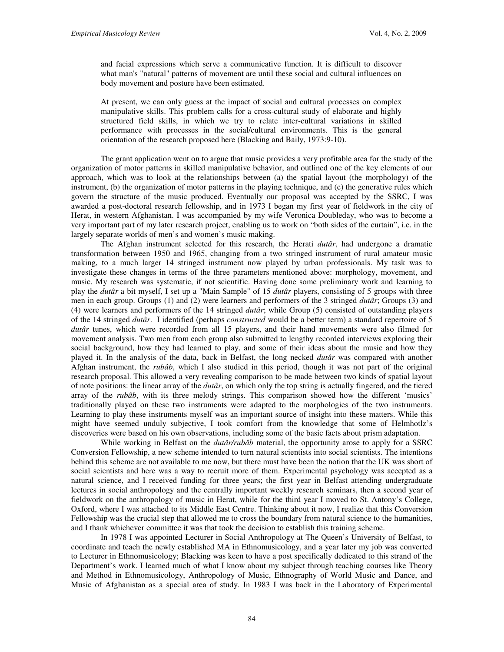and facial expressions which serve a communicative function. It is difficult to discover what man's "natural" patterns of movement are until these social and cultural influences on body movement and posture have been estimated.

At present, we can only guess at the impact of social and cultural processes on complex manipulative skills. This problem calls for a cross-cultural study of elaborate and highly structured field skills, in which we try to relate inter-cultural variations in skilled performance with processes in the social/cultural environments. This is the general orientation of the research proposed here (Blacking and Baily, 1973:9-10).

 The grant application went on to argue that music provides a very profitable area for the study of the organization of motor patterns in skilled manipulative behavior, and outlined one of the key elements of our approach, which was to look at the relationships between (a) the spatial layout (the morphology) of the instrument, (b) the organization of motor patterns in the playing technique, and (c) the generative rules which govern the structure of the music produced. Eventually our proposal was accepted by the SSRC, I was awarded a post-doctoral research fellowship, and in 1973 I began my first year of fieldwork in the city of Herat, in western Afghanistan. I was accompanied by my wife Veronica Doubleday, who was to become a very important part of my later research project, enabling us to work on "both sides of the curtain", i.e. in the largely separate worlds of men's and women's music making.

 The Afghan instrument selected for this research, the Herati *dutâr*, had undergone a dramatic transformation between 1950 and 1965, changing from a two stringed instrument of rural amateur music making, to a much larger 14 stringed instrument now played by urban professionals. My task was to investigate these changes in terms of the three parameters mentioned above: morphology, movement, and music. My research was systematic, if not scientific. Having done some preliminary work and learning to play the *dutâr* a bit myself, I set up a "Main Sample" of 15 *dutâr* players, consisting of 5 groups with three men in each group. Groups (1) and (2) were learners and performers of the 3 stringed *dutâr*; Groups (3) and (4) were learners and performers of the 14 stringed *dutâr*; while Group (5) consisted of outstanding players of the 14 stringed *dutâr*. I identified (perhaps *constructed* would be a better term) a standard repertoire of 5 *dutâr* tunes, which were recorded from all 15 players, and their hand movements were also filmed for movement analysis. Two men from each group also submitted to lengthy recorded interviews exploring their social background, how they had learned to play, and some of their ideas about the music and how they played it. In the analysis of the data, back in Belfast, the long necked *dutâr* was compared with another Afghan instrument, the *rubâb*, which I also studied in this period, though it was not part of the original research proposal. This allowed a very revealing comparison to be made between two kinds of spatial layout of note positions: the linear array of the *dutâr*, on which only the top string is actually fingered, and the tiered array of the *rubâb*, with its three melody strings. This comparison showed how the different 'musics' traditionally played on these two instruments were adapted to the morphologies of the two instruments. Learning to play these instruments myself was an important source of insight into these matters. While this might have seemed unduly subjective, I took comfort from the knowledge that some of Helmhotlz's discoveries were based on his own observations, including some of the basic facts about prism adaptation.

While working in Belfast on the *dutâr/rubâb* material, the opportunity arose to apply for a SSRC Conversion Fellowship, a new scheme intended to turn natural scientists into social scientists. The intentions behind this scheme are not available to me now, but there must have been the notion that the UK was short of social scientists and here was a way to recruit more of them. Experimental psychology was accepted as a natural science, and I received funding for three years; the first year in Belfast attending undergraduate lectures in social anthropology and the centrally important weekly research seminars, then a second year of fieldwork on the anthropology of music in Herat, while for the third year I moved to St. Antony's College, Oxford, where I was attached to its Middle East Centre. Thinking about it now, I realize that this Conversion Fellowship was the crucial step that allowed me to cross the boundary from natural science to the humanities, and I thank whichever committee it was that took the decision to establish this training scheme.

In 1978 I was appointed Lecturer in Social Anthropology at The Queen's University of Belfast, to coordinate and teach the newly established MA in Ethnomusicology, and a year later my job was converted to Lecturer in Ethnomusicology; Blacking was keen to have a post specifically dedicated to this strand of the Department's work. I learned much of what I know about my subject through teaching courses like Theory and Method in Ethnomusicology, Anthropology of Music, Ethnography of World Music and Dance, and Music of Afghanistan as a special area of study. In 1983 I was back in the Laboratory of Experimental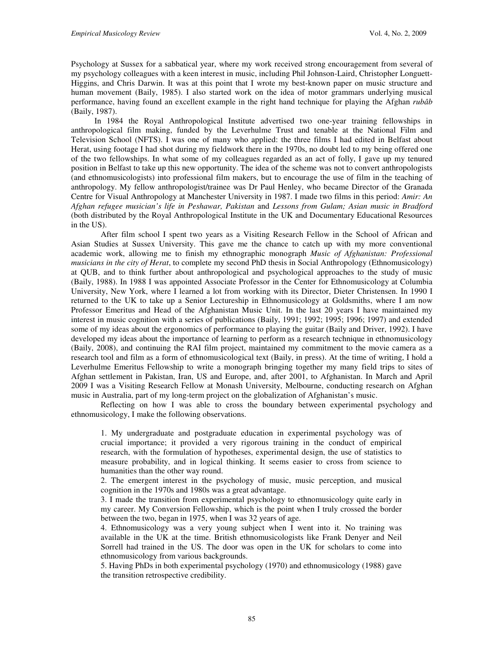Psychology at Sussex for a sabbatical year, where my work received strong encouragement from several of my psychology colleagues with a keen interest in music, including Phil Johnson-Laird, Christopher Longuett-Higgins, and Chris Darwin. It was at this point that I wrote my best-known paper on music structure and human movement (Baily, 1985). I also started work on the idea of motor grammars underlying musical performance, having found an excellent example in the right hand technique for playing the Afghan *rubâb* (Baily, 1987).

 In 1984 the Royal Anthropological Institute advertised two one-year training fellowships in anthropological film making, funded by the Leverhulme Trust and tenable at the National Film and Television School (NFTS). I was one of many who applied: the three films I had edited in Belfast about Herat, using footage I had shot during my fieldwork there in the 1970s, no doubt led to my being offered one of the two fellowships. In what some of my colleagues regarded as an act of folly, I gave up my tenured position in Belfast to take up this new opportunity. The idea of the scheme was not to convert anthropologists (and ethnomusicologists) into professional film makers, but to encourage the use of film in the teaching of anthropology. My fellow anthropologist/trainee was Dr Paul Henley, who became Director of the Granada Centre for Visual Anthropology at Manchester University in 1987. I made two films in this period: *Amir: An Afghan refugee musician's life in Peshawar, Pakistan* and *Lessons from Gulam; Asian music in Bradford* (both distributed by the Royal Anthropological Institute in the UK and Documentary Educational Resources in the US).

After film school I spent two years as a Visiting Research Fellow in the School of African and Asian Studies at Sussex University. This gave me the chance to catch up with my more conventional academic work, allowing me to finish my ethnographic monograph *Music of Afghanistan: Professional musicians in the city of Herat*, to complete my second PhD thesis in Social Anthropology (Ethnomusicology) at QUB, and to think further about anthropological and psychological approaches to the study of music (Baily, 1988). In 1988 I was appointed Associate Professor in the Center for Ethnomusicology at Columbia University, New York, where I learned a lot from working with its Director, Dieter Christensen. In 1990 I returned to the UK to take up a Senior Lectureship in Ethnomusicology at Goldsmiths, where I am now Professor Emeritus and Head of the Afghanistan Music Unit. In the last 20 years I have maintained my interest in music cognition with a series of publications (Baily, 1991; 1992; 1995; 1996; 1997) and extended some of my ideas about the ergonomics of performance to playing the guitar (Baily and Driver, 1992). I have developed my ideas about the importance of learning to perform as a research technique in ethnomusicology (Baily, 2008), and continuing the RAI film project, maintained my commitment to the movie camera as a research tool and film as a form of ethnomusicological text (Baily, in press). At the time of writing, I hold a Leverhulme Emeritus Fellowship to write a monograph bringing together my many field trips to sites of Afghan settlement in Pakistan, Iran, US and Europe, and, after 2001, to Afghanistan. In March and April 2009 I was a Visiting Research Fellow at Monash University, Melbourne, conducting research on Afghan music in Australia, part of my long-term project on the globalization of Afghanistan's music.

Reflecting on how I was able to cross the boundary between experimental psychology and ethnomusicology, I make the following observations.

1. My undergraduate and postgraduate education in experimental psychology was of crucial importance; it provided a very rigorous training in the conduct of empirical research, with the formulation of hypotheses, experimental design, the use of statistics to measure probability, and in logical thinking. It seems easier to cross from science to humanities than the other way round.

2. The emergent interest in the psychology of music, music perception, and musical cognition in the 1970s and 1980s was a great advantage.

3. I made the transition from experimental psychology to ethnomusicology quite early in my career. My Conversion Fellowship, which is the point when I truly crossed the border between the two, began in 1975, when I was 32 years of age.

4. Ethnomusicology was a very young subject when I went into it. No training was available in the UK at the time. British ethnomusicologists like Frank Denyer and Neil Sorrell had trained in the US. The door was open in the UK for scholars to come into ethnomusicology from various backgrounds.

5. Having PhDs in both experimental psychology (1970) and ethnomusicology (1988) gave the transition retrospective credibility.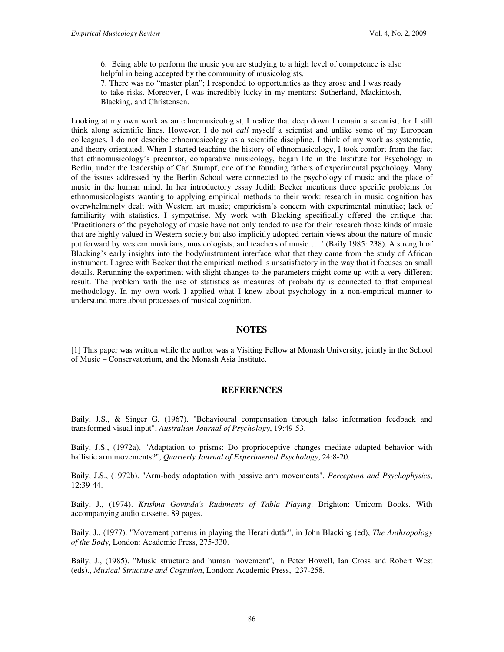6. Being able to perform the music you are studying to a high level of competence is also helpful in being accepted by the community of musicologists.

7. There was no "master plan"; I responded to opportunities as they arose and I was ready to take risks. Moreover, I was incredibly lucky in my mentors: Sutherland, Mackintosh, Blacking, and Christensen.

Looking at my own work as an ethnomusicologist, I realize that deep down I remain a scientist, for I still think along scientific lines. However, I do not *call* myself a scientist and unlike some of my European colleagues, I do not describe ethnomusicology as a scientific discipline. I think of my work as systematic, and theory-orientated. When I started teaching the history of ethnomusicology, I took comfort from the fact that ethnomusicology's precursor, comparative musicology, began life in the Institute for Psychology in Berlin, under the leadership of Carl Stumpf, one of the founding fathers of experimental psychology. Many of the issues addressed by the Berlin School were connected to the psychology of music and the place of music in the human mind. In her introductory essay Judith Becker mentions three specific problems for ethnomusicologists wanting to applying empirical methods to their work: research in music cognition has overwhelmingly dealt with Western art music; empiricism's concern with experimental minutiae; lack of familiarity with statistics. I sympathise. My work with Blacking specifically offered the critique that 'Practitioners of the psychology of music have not only tended to use for their research those kinds of music that are highly valued in Western society but also implicitly adopted certain views about the nature of music put forward by western musicians, musicologists, and teachers of music… .' (Baily 1985: 238). A strength of Blacking's early insights into the body/instrument interface what that they came from the study of African instrument. I agree with Becker that the empirical method is unsatisfactory in the way that it focuses on small details. Rerunning the experiment with slight changes to the parameters might come up with a very different result. The problem with the use of statistics as measures of probability is connected to that empirical methodology. In my own work I applied what I knew about psychology in a non-empirical manner to understand more about processes of musical cognition.

## **NOTES**

[1] This paper was written while the author was a Visiting Fellow at Monash University, jointly in the School of Music – Conservatorium, and the Monash Asia Institute.

## **REFERENCES**

Baily, J.S., & Singer G. (1967). "Behavioural compensation through false information feedback and transformed visual input", *Australian Journal of Psychology*, 19:49-53.

Baily, J.S., (1972a). "Adaptation to prisms: Do proprioceptive changes mediate adapted behavior with ballistic arm movements?", *Quarterly Journal of Experimental Psychology*, 24:8-20.

Baily, J.S., (1972b). "Arm-body adaptation with passive arm movements", *Perception and Psychophysics*, 12:39-44.

Baily, J., (1974). *Krishna Govinda's Rudiments of Tabla Playing*. Brighton: Unicorn Books. With accompanying audio cassette. 89 pages.

Baily, J., (1977). "Movement patterns in playing the Herati dutâr", in John Blacking (ed), *The Anthropology of the Body*, London: Academic Press, 275-330.

Baily, J., (1985). "Music structure and human movement", in Peter Howell, Ian Cross and Robert West (eds)., *Musical Structure and Cognition*, London: Academic Press, 237-258.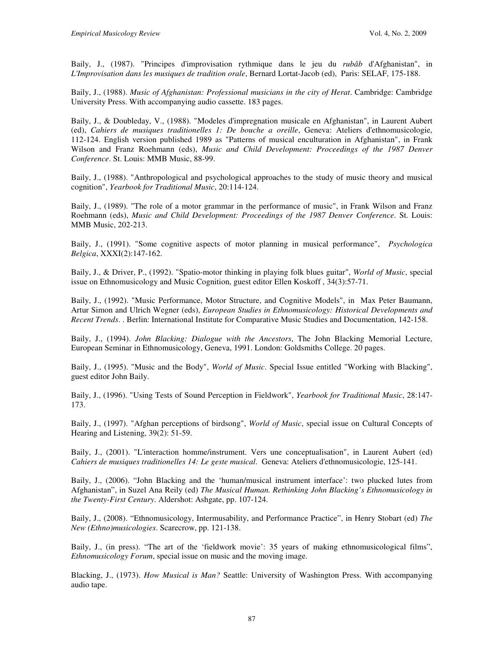Baily, J., (1987). "Principes d'improvisation rythmique dans le jeu du *rubâb* d'Afghanistan", in *L'Improvisation dans les musiques de tradition orale*, Bernard Lortat-Jacob (ed), Paris: SELAF, 175-188.

Baily, J., (1988). *Music of Afghanistan: Professional musicians in the city of Herat*. Cambridge: Cambridge University Press. With accompanying audio cassette. 183 pages.

Baily, J., & Doubleday, V., (1988). "Modeles d'impregnation musicale en Afghanistan", in Laurent Aubert (ed), *Cahiers de musiques traditionelles 1: De bouche a oreille*, Geneva: Ateliers d'ethnomusicologie, 112-124. English version published 1989 as "Patterns of musical enculturation in Afghanistan", in Frank Wilson and Franz Roehmann (eds), *Music and Child Development: Proceedings of the 1987 Denver Conference*. St. Louis: MMB Music, 88-99.

Baily, J., (1988). "Anthropological and psychological approaches to the study of music theory and musical cognition", *Yearbook for Traditional Music*, 20:114-124.

Baily, J., (1989). "The role of a motor grammar in the performance of music", in Frank Wilson and Franz Roehmann (eds), *Music and Child Development: Proceedings of the 1987 Denver Conference*. St. Louis: MMB Music, 202-213.

Baily, J., (1991). "Some cognitive aspects of motor planning in musical performance", *Psychologica Belgica*, XXXI(2):147-162.

Baily, J., & Driver, P., (1992). "Spatio-motor thinking in playing folk blues guitar", *World of Music*, special issue on Ethnomusicology and Music Cognition, guest editor Ellen Koskoff , 34(3):57-71.

Baily, J., (1992). "Music Performance, Motor Structure, and Cognitive Models", in Max Peter Baumann, Artur Simon and Ulrich Wegner (eds), *European Studies in Ethnomusicology: Historical Developments and Recent Trends*. . Berlin: International Institute for Comparative Music Studies and Documentation, 142-158.

Baily, J., (1994). *John Blacking: Dialogue with the Ancestors*, The John Blacking Memorial Lecture, European Seminar in Ethnomusicology, Geneva, 1991. London: Goldsmiths College. 20 pages.

Baily, J., (1995). "Music and the Body", *World of Music*. Special Issue entitled "Working with Blacking", guest editor John Baily.

Baily, J., (1996). "Using Tests of Sound Perception in Fieldwork", *Yearbook for Traditional Music*, 28:147- 173.

Baily, J., (1997). "Afghan perceptions of birdsong", *World of Music*, special issue on Cultural Concepts of Hearing and Listening, 39(2): 51-59.

Baily, J., (2001). "L'interaction homme/instrument. Vers une conceptualisation", in Laurent Aubert (ed) *Cahiers de musiques traditionelles 14: Le geste musical*. Geneva: Ateliers d'ethnomusicologie, 125-141.

Baily, J., (2006). "John Blacking and the 'human/musical instrument interface': two plucked lutes from Afghanistan", in Suzel Ana Reily (ed) *The Musical Human. Rethinking John Blacking's Ethnomusicology in the Twenty-First Century*. Aldershot: Ashgate, pp. 107-124.

Baily, J., (2008). "Ethnomusicology, Intermusability, and Performance Practice", in Henry Stobart (ed) *The New (Ethno)musicologies*. Scarecrow, pp. 121-138.

Baily, J., (in press). "The art of the 'fieldwork movie': 35 years of making ethnomusicological films", *Ethnomusicology Forum*, special issue on music and the moving image.

Blacking, J., (1973). *How Musical is Man?* Seattle: University of Washington Press. With accompanying audio tape.